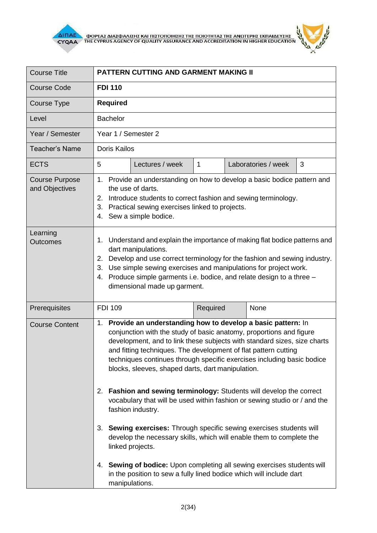

 $\frac{1}{\sqrt{2\pi}}\sum_{i=1}^{N}$ **AITIAE A OOPEAS AIAS DANISHS KAI TIISTOTOIHSHS THS TOIOTHTAS THE ANOTEPHS EKTIAIAEYSHS** 

 $\mathbf{z}$ 

| <b>Course Title</b>                     | <b>PATTERN CUTTING AND GARMENT MAKING II</b>                                                                                                                                                                                                                                                                                                                                                                        |                 |          |  |                     |   |  |
|-----------------------------------------|---------------------------------------------------------------------------------------------------------------------------------------------------------------------------------------------------------------------------------------------------------------------------------------------------------------------------------------------------------------------------------------------------------------------|-----------------|----------|--|---------------------|---|--|
| <b>Course Code</b>                      | <b>FDI 110</b>                                                                                                                                                                                                                                                                                                                                                                                                      |                 |          |  |                     |   |  |
| Course Type                             | <b>Required</b>                                                                                                                                                                                                                                                                                                                                                                                                     |                 |          |  |                     |   |  |
| Level                                   | <b>Bachelor</b>                                                                                                                                                                                                                                                                                                                                                                                                     |                 |          |  |                     |   |  |
| Year / Semester                         | Year 1 / Semester 2                                                                                                                                                                                                                                                                                                                                                                                                 |                 |          |  |                     |   |  |
| <b>Teacher's Name</b>                   | <b>Doris Kailos</b>                                                                                                                                                                                                                                                                                                                                                                                                 |                 |          |  |                     |   |  |
| <b>ECTS</b>                             | 5                                                                                                                                                                                                                                                                                                                                                                                                                   | Lectures / week | 1        |  | Laboratories / week | 3 |  |
| <b>Course Purpose</b><br>and Objectives | 1. Provide an understanding on how to develop a basic bodice pattern and<br>the use of darts.<br>2. Introduce students to correct fashion and sewing terminology.<br>3. Practical sewing exercises linked to projects.<br>4. Sew a simple bodice.                                                                                                                                                                   |                 |          |  |                     |   |  |
| Learning<br><b>Outcomes</b>             | 1. Understand and explain the importance of making flat bodice patterns and<br>dart manipulations.<br>Develop and use correct terminology for the fashion and sewing industry.<br>2.<br>3. Use simple sewing exercises and manipulations for project work.<br>Produce simple garments i.e. bodice, and relate design to a three -<br>4.<br>dimensional made up garment.                                             |                 |          |  |                     |   |  |
| Prerequisites                           | <b>FDI 109</b>                                                                                                                                                                                                                                                                                                                                                                                                      |                 | Required |  | None                |   |  |
| <b>Course Content</b>                   | 1. Provide an understanding how to develop a basic pattern: In<br>conjunction with the study of basic anatomy, proportions and figure<br>development, and to link these subjects with standard sizes, size charts<br>and fitting techniques. The development of flat pattern cutting<br>techniques continues through specific exercises including basic bodice<br>blocks, sleeves, shaped darts, dart manipulation. |                 |          |  |                     |   |  |
|                                         | 2. Fashion and sewing terminology: Students will develop the correct<br>vocabulary that will be used within fashion or sewing studio or / and the<br>fashion industry.                                                                                                                                                                                                                                              |                 |          |  |                     |   |  |
|                                         | 3. Sewing exercises: Through specific sewing exercises students will<br>develop the necessary skills, which will enable them to complete the<br>linked projects.                                                                                                                                                                                                                                                    |                 |          |  |                     |   |  |
|                                         | 4. Sewing of bodice: Upon completing all sewing exercises students will<br>in the position to sew a fully lined bodice which will include dart<br>manipulations.                                                                                                                                                                                                                                                    |                 |          |  |                     |   |  |